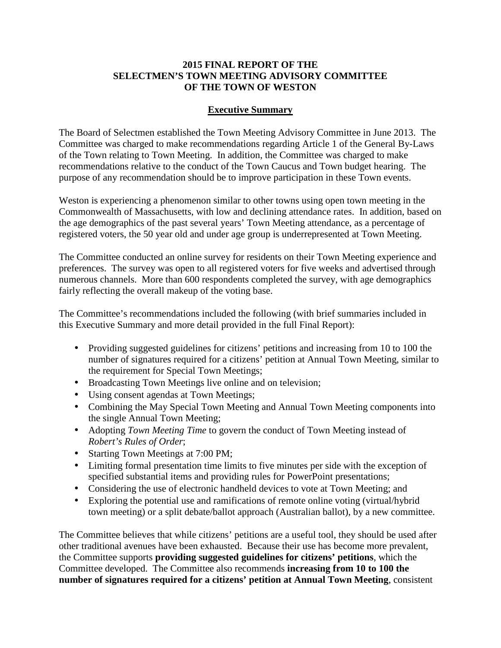## **2015 FINAL REPORT OF THE SELECTMEN'S TOWN MEETING ADVISORY COMMITTEE OF THE TOWN OF WESTON**

## **Executive Summary**

The Board of Selectmen established the Town Meeting Advisory Committee in June 2013. The Committee was charged to make recommendations regarding Article 1 of the General By-Laws of the Town relating to Town Meeting. In addition, the Committee was charged to make recommendations relative to the conduct of the Town Caucus and Town budget hearing. The purpose of any recommendation should be to improve participation in these Town events.

Weston is experiencing a phenomenon similar to other towns using open town meeting in the Commonwealth of Massachusetts, with low and declining attendance rates. In addition, based on the age demographics of the past several years' Town Meeting attendance, as a percentage of registered voters, the 50 year old and under age group is underrepresented at Town Meeting.

The Committee conducted an online survey for residents on their Town Meeting experience and preferences. The survey was open to all registered voters for five weeks and advertised through numerous channels. More than 600 respondents completed the survey, with age demographics fairly reflecting the overall makeup of the voting base.

The Committee's recommendations included the following (with brief summaries included in this Executive Summary and more detail provided in the full Final Report):

- Providing suggested guidelines for citizens' petitions and increasing from 10 to 100 the number of signatures required for a citizens' petition at Annual Town Meeting, similar to the requirement for Special Town Meetings;
- Broadcasting Town Meetings live online and on television;
- Using consent agendas at Town Meetings;
- Combining the May Special Town Meeting and Annual Town Meeting components into the single Annual Town Meeting;
- Adopting *Town Meeting Time* to govern the conduct of Town Meeting instead of *Robert's Rules of Order*;
- Starting Town Meetings at 7:00 PM;
- Limiting formal presentation time limits to five minutes per side with the exception of specified substantial items and providing rules for PowerPoint presentations;
- Considering the use of electronic handheld devices to vote at Town Meeting; and
- Exploring the potential use and ramifications of remote online voting (virtual/hybrid town meeting) or a split debate/ballot approach (Australian ballot), by a new committee.

The Committee believes that while citizens' petitions are a useful tool, they should be used after other traditional avenues have been exhausted. Because their use has become more prevalent, the Committee supports **providing suggested guidelines for citizens' petitions**, which the Committee developed. The Committee also recommends **increasing from 10 to 100 the number of signatures required for a citizens' petition at Annual Town Meeting**, consistent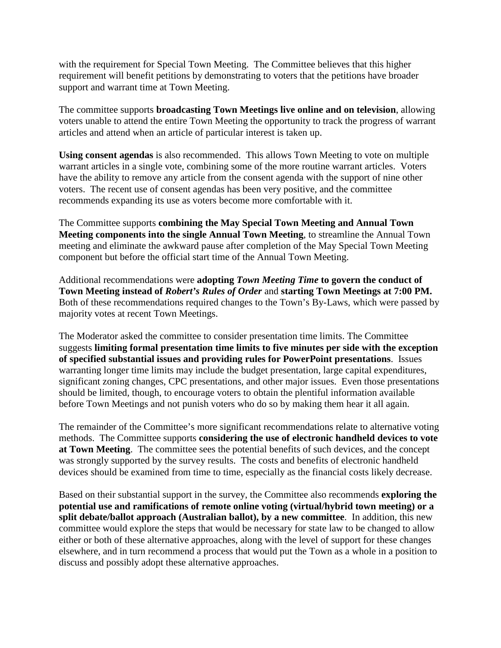with the requirement for Special Town Meeting. The Committee believes that this higher requirement will benefit petitions by demonstrating to voters that the petitions have broader support and warrant time at Town Meeting.

The committee supports **broadcasting Town Meetings live online and on television**, allowing voters unable to attend the entire Town Meeting the opportunity to track the progress of warrant articles and attend when an article of particular interest is taken up.

**Using consent agendas** is also recommended. This allows Town Meeting to vote on multiple warrant articles in a single vote, combining some of the more routine warrant articles. Voters have the ability to remove any article from the consent agenda with the support of nine other voters. The recent use of consent agendas has been very positive, and the committee recommends expanding its use as voters become more comfortable with it.

The Committee supports **combining the May Special Town Meeting and Annual Town Meeting components into the single Annual Town Meeting**, to streamline the Annual Town meeting and eliminate the awkward pause after completion of the May Special Town Meeting component but before the official start time of the Annual Town Meeting.

Additional recommendations were **adopting** *Town Meeting Time* **to govern the conduct of Town Meeting instead of** *Robert's Rules of Order* and **starting Town Meetings at 7:00 PM.** Both of these recommendations required changes to the Town's By-Laws, which were passed by majority votes at recent Town Meetings.

The Moderator asked the committee to consider presentation time limits. The Committee suggests **limiting formal presentation time limits to five minutes per side with the exception of specified substantial issues and providing rules for PowerPoint presentations**. Issues warranting longer time limits may include the budget presentation, large capital expenditures, significant zoning changes, CPC presentations, and other major issues. Even those presentations should be limited, though, to encourage voters to obtain the plentiful information available before Town Meetings and not punish voters who do so by making them hear it all again.

The remainder of the Committee's more significant recommendations relate to alternative voting methods. The Committee supports **considering the use of electronic handheld devices to vote at Town Meeting**. The committee sees the potential benefits of such devices, and the concept was strongly supported by the survey results. The costs and benefits of electronic handheld devices should be examined from time to time, especially as the financial costs likely decrease.

Based on their substantial support in the survey, the Committee also recommends **exploring the potential use and ramifications of remote online voting (virtual/hybrid town meeting) or a split debate/ballot approach (Australian ballot), by a new committee**. In addition, this new committee would explore the steps that would be necessary for state law to be changed to allow either or both of these alternative approaches, along with the level of support for these changes elsewhere, and in turn recommend a process that would put the Town as a whole in a position to discuss and possibly adopt these alternative approaches.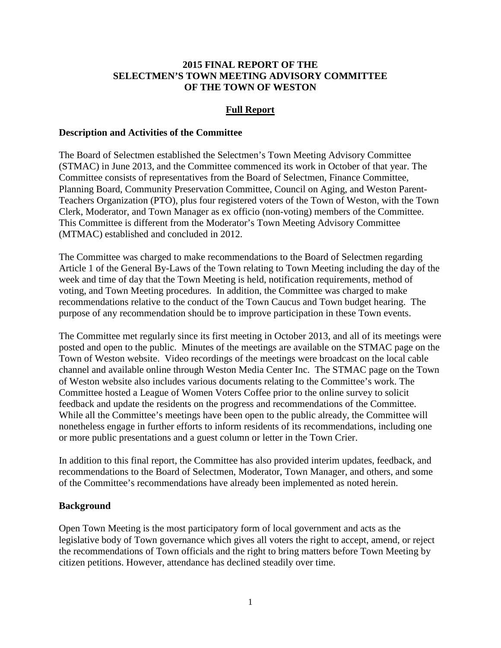### **2015 FINAL REPORT OF THE SELECTMEN'S TOWN MEETING ADVISORY COMMITTEE OF THE TOWN OF WESTON**

### **Full Report**

### **Description and Activities of the Committee**

The Board of Selectmen established the Selectmen's Town Meeting Advisory Committee (STMAC) in June 2013, and the Committee commenced its work in October of that year. The Committee consists of representatives from the Board of Selectmen, Finance Committee, Planning Board, Community Preservation Committee, Council on Aging, and Weston Parent-Teachers Organization (PTO), plus four registered voters of the Town of Weston, with the Town Clerk, Moderator, and Town Manager as ex officio (non-voting) members of the Committee. This Committee is different from the Moderator's Town Meeting Advisory Committee (MTMAC) established and concluded in 2012.

The Committee was charged to make recommendations to the Board of Selectmen regarding Article 1 of the General By-Laws of the Town relating to Town Meeting including the day of the week and time of day that the Town Meeting is held, notification requirements, method of voting, and Town Meeting procedures. In addition, the Committee was charged to make recommendations relative to the conduct of the Town Caucus and Town budget hearing. The purpose of any recommendation should be to improve participation in these Town events.

The Committee met regularly since its first meeting in October 2013, and all of its meetings were posted and open to the public. Minutes of the meetings are available on the STMAC page on the Town of Weston website. Video recordings of the meetings were broadcast on the local cable channel and available online through Weston Media Center Inc. The STMAC page on the Town of Weston website also includes various documents relating to the Committee's work. The Committee hosted a League of Women Voters Coffee prior to the online survey to solicit feedback and update the residents on the progress and recommendations of the Committee. While all the Committee's meetings have been open to the public already, the Committee will nonetheless engage in further efforts to inform residents of its recommendations, including one or more public presentations and a guest column or letter in the Town Crier.

In addition to this final report, the Committee has also provided interim updates, feedback, and recommendations to the Board of Selectmen, Moderator, Town Manager, and others, and some of the Committee's recommendations have already been implemented as noted herein.

### **Background**

Open Town Meeting is the most participatory form of local government and acts as the legislative body of Town governance which gives all voters the right to accept, amend, or reject the recommendations of Town officials and the right to bring matters before Town Meeting by citizen petitions. However, attendance has declined steadily over time.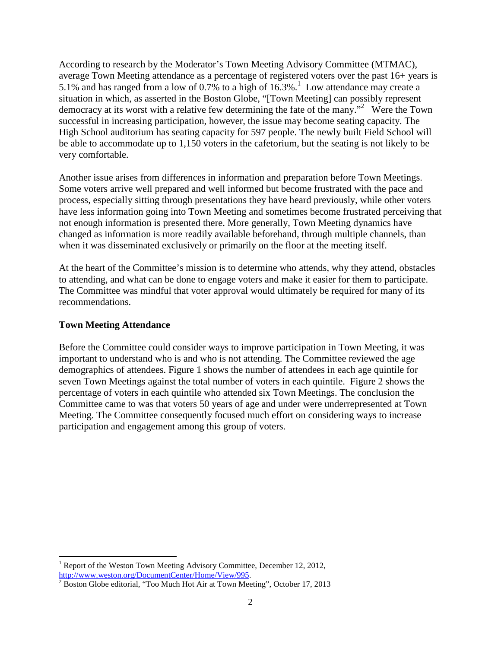According to research by the Moderator's Town Meeting Advisory Committee (MTMAC), average Town Meeting attendance as a percentage of registered voters over the past 16+ years is 5.1% and has ranged from a low of 0.7% to a high of  $16.3\%$ .<sup>1</sup> Low attendance may create a situation in which, as asserted in the Boston Globe, "[Town Meeting] can possibly represent democracy at its worst with a relative few determining the fate of the many."<sup>2</sup> Were the Town successful in increasing participation, however, the issue may become seating capacity. The High School auditorium has seating capacity for 597 people. The newly built Field School will be able to accommodate up to 1,150 voters in the cafetorium, but the seating is not likely to be very comfortable.

Another issue arises from differences in information and preparation before Town Meetings. Some voters arrive well prepared and well informed but become frustrated with the pace and process, especially sitting through presentations they have heard previously, while other voters have less information going into Town Meeting and sometimes become frustrated perceiving that not enough information is presented there. More generally, Town Meeting dynamics have changed as information is more readily available beforehand, through multiple channels, than when it was disseminated exclusively or primarily on the floor at the meeting itself.

At the heart of the Committee's mission is to determine who attends, why they attend, obstacles to attending, and what can be done to engage voters and make it easier for them to participate. The Committee was mindful that voter approval would ultimately be required for many of its recommendations.

### **Town Meeting Attendance**

<u>.</u>

Before the Committee could consider ways to improve participation in Town Meeting, it was important to understand who is and who is not attending. The Committee reviewed the age demographics of attendees. Figure 1 shows the number of attendees in each age quintile for seven Town Meetings against the total number of voters in each quintile. Figure 2 shows the percentage of voters in each quintile who attended six Town Meetings. The conclusion the Committee came to was that voters 50 years of age and under were underrepresented at Town Meeting. The Committee consequently focused much effort on considering ways to increase participation and engagement among this group of voters.

<sup>&</sup>lt;sup>1</sup> Report of the Weston Town Meeting Advisory Committee, December 12, 2012, http://www.weston.org/DocumentCenter/Home/View/995.

 $2^{2}$  Boston Globe editorial, "Too Much Hot Air at Town Meeting", October 17, 2013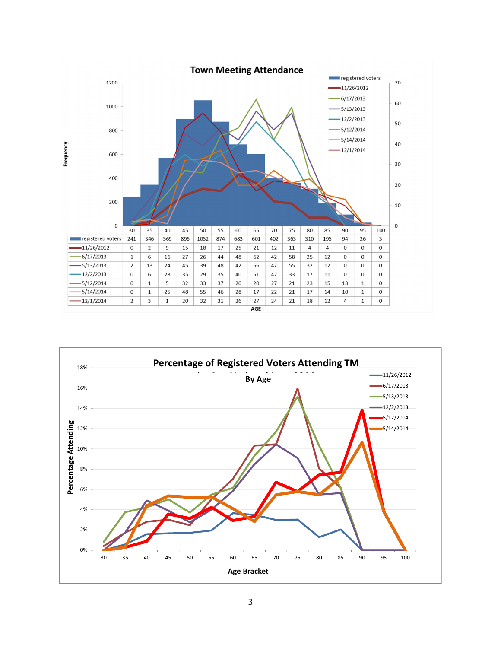

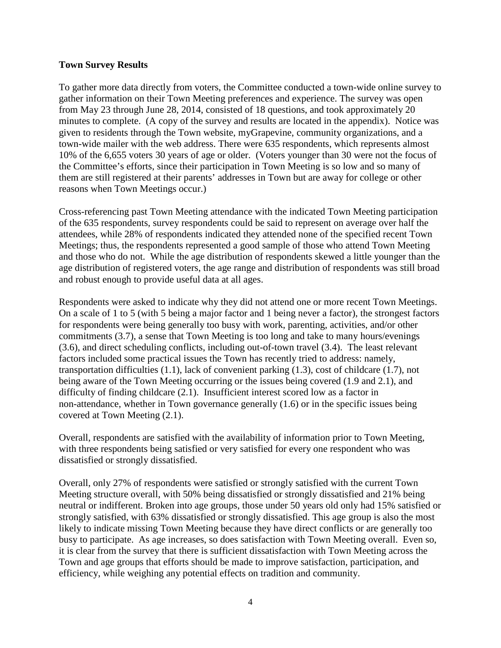### **Town Survey Results**

To gather more data directly from voters, the Committee conducted a town-wide online survey to gather information on their Town Meeting preferences and experience. The survey was open from May 23 through June 28, 2014, consisted of 18 questions, and took approximately 20 minutes to complete. (A copy of the survey and results are located in the appendix). Notice was given to residents through the Town website, myGrapevine, community organizations, and a town-wide mailer with the web address. There were 635 respondents, which represents almost 10% of the 6,655 voters 30 years of age or older. (Voters younger than 30 were not the focus of the Committee's efforts, since their participation in Town Meeting is so low and so many of them are still registered at their parents' addresses in Town but are away for college or other reasons when Town Meetings occur.)

Cross-referencing past Town Meeting attendance with the indicated Town Meeting participation of the 635 respondents, survey respondents could be said to represent on average over half the attendees, while 28% of respondents indicated they attended none of the specified recent Town Meetings; thus, the respondents represented a good sample of those who attend Town Meeting and those who do not. While the age distribution of respondents skewed a little younger than the age distribution of registered voters, the age range and distribution of respondents was still broad and robust enough to provide useful data at all ages.

Respondents were asked to indicate why they did not attend one or more recent Town Meetings. On a scale of 1 to 5 (with 5 being a major factor and 1 being never a factor), the strongest factors for respondents were being generally too busy with work, parenting, activities, and/or other commitments (3.7), a sense that Town Meeting is too long and take to many hours/evenings (3.6), and direct scheduling conflicts, including out-of-town travel (3.4). The least relevant factors included some practical issues the Town has recently tried to address: namely, transportation difficulties (1.1), lack of convenient parking (1.3), cost of childcare (1.7), not being aware of the Town Meeting occurring or the issues being covered (1.9 and 2.1), and difficulty of finding childcare (2.1). Insufficient interest scored low as a factor in non-attendance, whether in Town governance generally (1.6) or in the specific issues being covered at Town Meeting (2.1).

Overall, respondents are satisfied with the availability of information prior to Town Meeting, with three respondents being satisfied or very satisfied for every one respondent who was dissatisfied or strongly dissatisfied.

Overall, only 27% of respondents were satisfied or strongly satisfied with the current Town Meeting structure overall, with 50% being dissatisfied or strongly dissatisfied and 21% being neutral or indifferent. Broken into age groups, those under 50 years old only had 15% satisfied or strongly satisfied, with 63% dissatisfied or strongly dissatisfied. This age group is also the most likely to indicate missing Town Meeting because they have direct conflicts or are generally too busy to participate. As age increases, so does satisfaction with Town Meeting overall. Even so, it is clear from the survey that there is sufficient dissatisfaction with Town Meeting across the Town and age groups that efforts should be made to improve satisfaction, participation, and efficiency, while weighing any potential effects on tradition and community.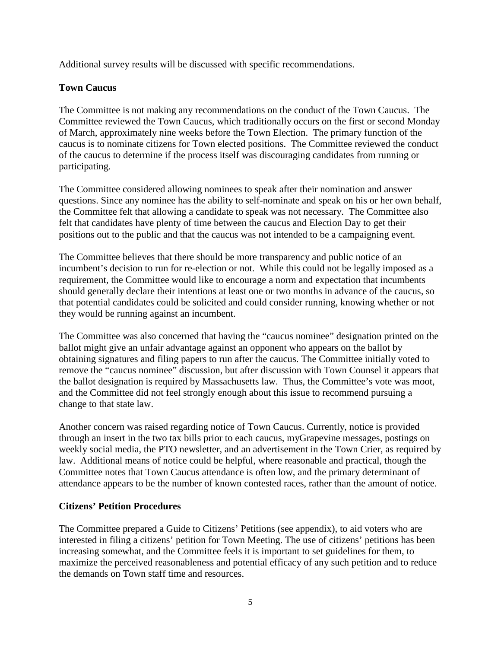Additional survey results will be discussed with specific recommendations.

# **Town Caucus**

The Committee is not making any recommendations on the conduct of the Town Caucus. The Committee reviewed the Town Caucus, which traditionally occurs on the first or second Monday of March, approximately nine weeks before the Town Election. The primary function of the caucus is to nominate citizens for Town elected positions. The Committee reviewed the conduct of the caucus to determine if the process itself was discouraging candidates from running or participating.

The Committee considered allowing nominees to speak after their nomination and answer questions. Since any nominee has the ability to self-nominate and speak on his or her own behalf, the Committee felt that allowing a candidate to speak was not necessary. The Committee also felt that candidates have plenty of time between the caucus and Election Day to get their positions out to the public and that the caucus was not intended to be a campaigning event.

The Committee believes that there should be more transparency and public notice of an incumbent's decision to run for re-election or not. While this could not be legally imposed as a requirement, the Committee would like to encourage a norm and expectation that incumbents should generally declare their intentions at least one or two months in advance of the caucus, so that potential candidates could be solicited and could consider running, knowing whether or not they would be running against an incumbent.

The Committee was also concerned that having the "caucus nominee" designation printed on the ballot might give an unfair advantage against an opponent who appears on the ballot by obtaining signatures and filing papers to run after the caucus. The Committee initially voted to remove the "caucus nominee" discussion, but after discussion with Town Counsel it appears that the ballot designation is required by Massachusetts law. Thus, the Committee's vote was moot, and the Committee did not feel strongly enough about this issue to recommend pursuing a change to that state law.

Another concern was raised regarding notice of Town Caucus. Currently, notice is provided through an insert in the two tax bills prior to each caucus, myGrapevine messages, postings on weekly social media, the PTO newsletter, and an advertisement in the Town Crier, as required by law. Additional means of notice could be helpful, where reasonable and practical, though the Committee notes that Town Caucus attendance is often low, and the primary determinant of attendance appears to be the number of known contested races, rather than the amount of notice.

## **Citizens' Petition Procedures**

The Committee prepared a Guide to Citizens' Petitions (see appendix), to aid voters who are interested in filing a citizens' petition for Town Meeting. The use of citizens' petitions has been increasing somewhat, and the Committee feels it is important to set guidelines for them, to maximize the perceived reasonableness and potential efficacy of any such petition and to reduce the demands on Town staff time and resources.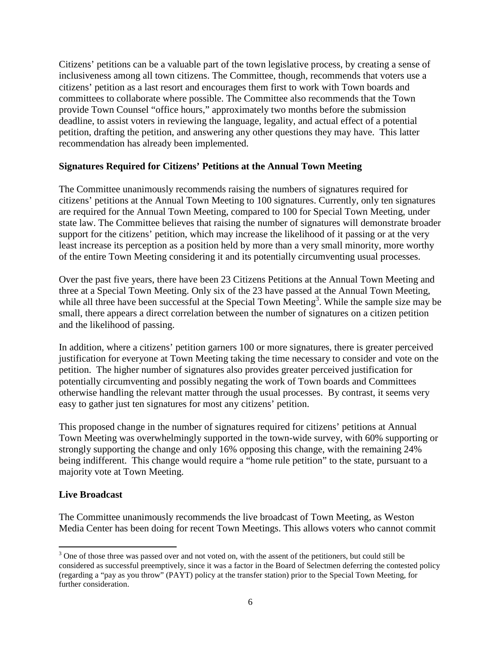Citizens' petitions can be a valuable part of the town legislative process, by creating a sense of inclusiveness among all town citizens. The Committee, though, recommends that voters use a citizens' petition as a last resort and encourages them first to work with Town boards and committees to collaborate where possible. The Committee also recommends that the Town provide Town Counsel "office hours," approximately two months before the submission deadline, to assist voters in reviewing the language, legality, and actual effect of a potential petition, drafting the petition, and answering any other questions they may have. This latter recommendation has already been implemented.

## **Signatures Required for Citizens' Petitions at the Annual Town Meeting**

The Committee unanimously recommends raising the numbers of signatures required for citizens' petitions at the Annual Town Meeting to 100 signatures. Currently, only ten signatures are required for the Annual Town Meeting, compared to 100 for Special Town Meeting, under state law. The Committee believes that raising the number of signatures will demonstrate broader support for the citizens' petition, which may increase the likelihood of it passing or at the very least increase its perception as a position held by more than a very small minority, more worthy of the entire Town Meeting considering it and its potentially circumventing usual processes.

Over the past five years, there have been 23 Citizens Petitions at the Annual Town Meeting and three at a Special Town Meeting. Only six of the 23 have passed at the Annual Town Meeting, while all three have been successful at the Special Town Meeting<sup>3</sup>. While the sample size may be small, there appears a direct correlation between the number of signatures on a citizen petition and the likelihood of passing.

In addition, where a citizens' petition garners 100 or more signatures, there is greater perceived justification for everyone at Town Meeting taking the time necessary to consider and vote on the petition. The higher number of signatures also provides greater perceived justification for potentially circumventing and possibly negating the work of Town boards and Committees otherwise handling the relevant matter through the usual processes. By contrast, it seems very easy to gather just ten signatures for most any citizens' petition.

This proposed change in the number of signatures required for citizens' petitions at Annual Town Meeting was overwhelmingly supported in the town-wide survey, with 60% supporting or strongly supporting the change and only 16% opposing this change, with the remaining 24% being indifferent. This change would require a "home rule petition" to the state, pursuant to a majority vote at Town Meeting.

## **Live Broadcast**

.<br>-

The Committee unanimously recommends the live broadcast of Town Meeting, as Weston Media Center has been doing for recent Town Meetings. This allows voters who cannot commit

<sup>&</sup>lt;sup>3</sup> One of those three was passed over and not voted on, with the assent of the petitioners, but could still be considered as successful preemptively, since it was a factor in the Board of Selectmen deferring the contested policy (regarding a "pay as you throw" (PAYT) policy at the transfer station) prior to the Special Town Meeting, for further consideration.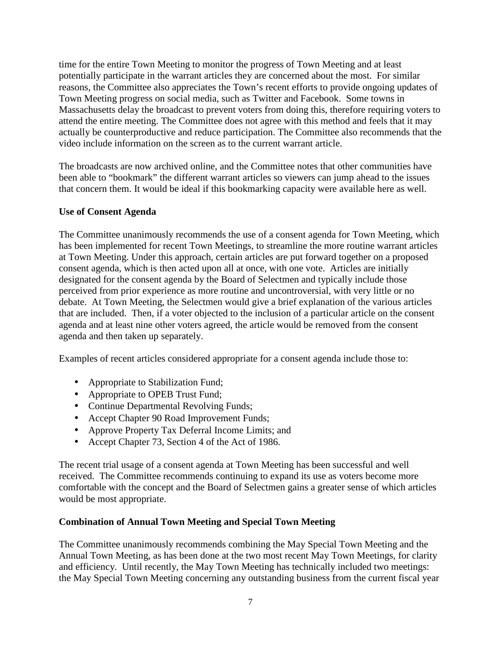time for the entire Town Meeting to monitor the progress of Town Meeting and at least potentially participate in the warrant articles they are concerned about the most. For similar reasons, the Committee also appreciates the Town's recent efforts to provide ongoing updates of Town Meeting progress on social media, such as Twitter and Facebook. Some towns in Massachusetts delay the broadcast to prevent voters from doing this, therefore requiring voters to attend the entire meeting. The Committee does not agree with this method and feels that it may actually be counterproductive and reduce participation. The Committee also recommends that the video include information on the screen as to the current warrant article.

The broadcasts are now archived online, and the Committee notes that other communities have been able to "bookmark" the different warrant articles so viewers can jump ahead to the issues that concern them. It would be ideal if this bookmarking capacity were available here as well.

## **Use of Consent Agenda**

The Committee unanimously recommends the use of a consent agenda for Town Meeting, which has been implemented for recent Town Meetings, to streamline the more routine warrant articles at Town Meeting. Under this approach, certain articles are put forward together on a proposed consent agenda, which is then acted upon all at once, with one vote. Articles are initially designated for the consent agenda by the Board of Selectmen and typically include those perceived from prior experience as more routine and uncontroversial, with very little or no debate. At Town Meeting, the Selectmen would give a brief explanation of the various articles that are included. Then, if a voter objected to the inclusion of a particular article on the consent agenda and at least nine other voters agreed, the article would be removed from the consent agenda and then taken up separately.

Examples of recent articles considered appropriate for a consent agenda include those to:

- Appropriate to Stabilization Fund;
- Appropriate to OPEB Trust Fund;
- Continue Departmental Revolving Funds;
- Accept Chapter 90 Road Improvement Funds;
- Approve Property Tax Deferral Income Limits; and
- Accept Chapter 73, Section 4 of the Act of 1986.

The recent trial usage of a consent agenda at Town Meeting has been successful and well received. The Committee recommends continuing to expand its use as voters become more comfortable with the concept and the Board of Selectmen gains a greater sense of which articles would be most appropriate.

## **Combination of Annual Town Meeting and Special Town Meeting**

The Committee unanimously recommends combining the May Special Town Meeting and the Annual Town Meeting, as has been done at the two most recent May Town Meetings, for clarity and efficiency. Until recently, the May Town Meeting has technically included two meetings: the May Special Town Meeting concerning any outstanding business from the current fiscal year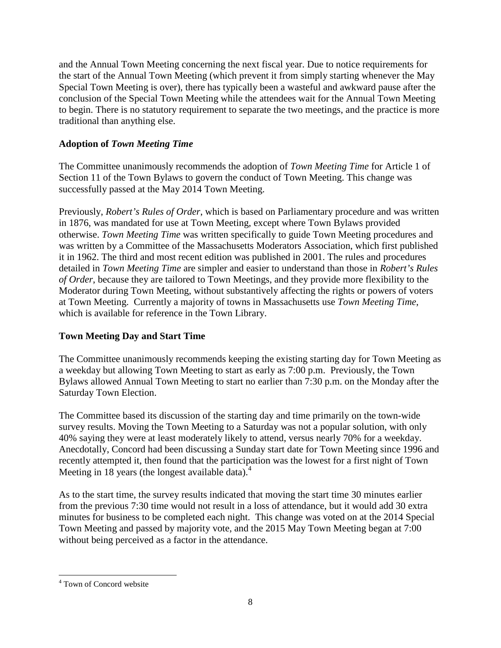and the Annual Town Meeting concerning the next fiscal year. Due to notice requirements for the start of the Annual Town Meeting (which prevent it from simply starting whenever the May Special Town Meeting is over), there has typically been a wasteful and awkward pause after the conclusion of the Special Town Meeting while the attendees wait for the Annual Town Meeting to begin. There is no statutory requirement to separate the two meetings, and the practice is more traditional than anything else.

# **Adoption of** *Town Meeting Time*

The Committee unanimously recommends the adoption of *Town Meeting Time* for Article 1 of Section 11 of the Town Bylaws to govern the conduct of Town Meeting. This change was successfully passed at the May 2014 Town Meeting.

Previously, *Robert's Rules of Order*, which is based on Parliamentary procedure and was written in 1876, was mandated for use at Town Meeting, except where Town Bylaws provided otherwise. *Town Meeting Time* was written specifically to guide Town Meeting procedures and was written by a Committee of the Massachusetts Moderators Association, which first published it in 1962. The third and most recent edition was published in 2001. The rules and procedures detailed in *Town Meeting Time* are simpler and easier to understand than those in *Robert's Rules of Order*, because they are tailored to Town Meetings, and they provide more flexibility to the Moderator during Town Meeting, without substantively affecting the rights or powers of voters at Town Meeting. Currently a majority of towns in Massachusetts use *Town Meeting Time*, which is available for reference in the Town Library.

# **Town Meeting Day and Start Time**

The Committee unanimously recommends keeping the existing starting day for Town Meeting as a weekday but allowing Town Meeting to start as early as 7:00 p.m. Previously, the Town Bylaws allowed Annual Town Meeting to start no earlier than 7:30 p.m. on the Monday after the Saturday Town Election.

The Committee based its discussion of the starting day and time primarily on the town-wide survey results. Moving the Town Meeting to a Saturday was not a popular solution, with only 40% saying they were at least moderately likely to attend, versus nearly 70% for a weekday. Anecdotally, Concord had been discussing a Sunday start date for Town Meeting since 1996 and recently attempted it, then found that the participation was the lowest for a first night of Town Meeting in 18 years (the longest available data). $4$ 

As to the start time, the survey results indicated that moving the start time 30 minutes earlier from the previous 7:30 time would not result in a loss of attendance, but it would add 30 extra minutes for business to be completed each night. This change was voted on at the 2014 Special Town Meeting and passed by majority vote, and the 2015 May Town Meeting began at 7:00 without being perceived as a factor in the attendance.

.<br>-

<sup>4</sup> Town of Concord website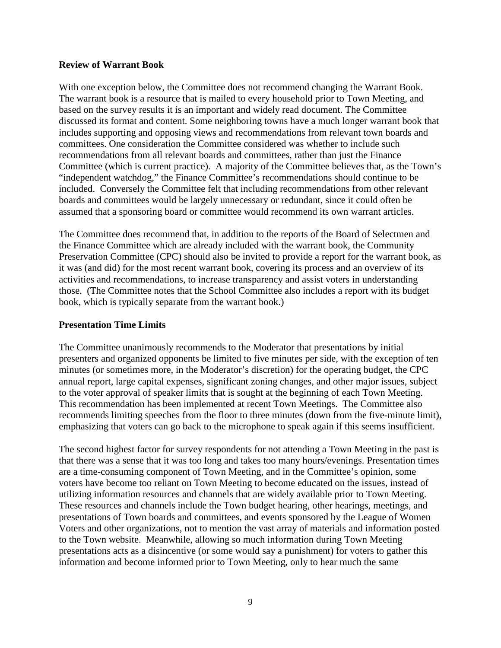### **Review of Warrant Book**

With one exception below, the Committee does not recommend changing the Warrant Book. The warrant book is a resource that is mailed to every household prior to Town Meeting, and based on the survey results it is an important and widely read document. The Committee discussed its format and content. Some neighboring towns have a much longer warrant book that includes supporting and opposing views and recommendations from relevant town boards and committees. One consideration the Committee considered was whether to include such recommendations from all relevant boards and committees, rather than just the Finance Committee (which is current practice). A majority of the Committee believes that, as the Town's "independent watchdog," the Finance Committee's recommendations should continue to be included. Conversely the Committee felt that including recommendations from other relevant boards and committees would be largely unnecessary or redundant, since it could often be assumed that a sponsoring board or committee would recommend its own warrant articles.

The Committee does recommend that, in addition to the reports of the Board of Selectmen and the Finance Committee which are already included with the warrant book, the Community Preservation Committee (CPC) should also be invited to provide a report for the warrant book, as it was (and did) for the most recent warrant book, covering its process and an overview of its activities and recommendations, to increase transparency and assist voters in understanding those. (The Committee notes that the School Committee also includes a report with its budget book, which is typically separate from the warrant book.)

### **Presentation Time Limits**

The Committee unanimously recommends to the Moderator that presentations by initial presenters and organized opponents be limited to five minutes per side, with the exception of ten minutes (or sometimes more, in the Moderator's discretion) for the operating budget, the CPC annual report, large capital expenses, significant zoning changes, and other major issues, subject to the voter approval of speaker limits that is sought at the beginning of each Town Meeting. This recommendation has been implemented at recent Town Meetings. The Committee also recommends limiting speeches from the floor to three minutes (down from the five-minute limit), emphasizing that voters can go back to the microphone to speak again if this seems insufficient.

The second highest factor for survey respondents for not attending a Town Meeting in the past is that there was a sense that it was too long and takes too many hours/evenings. Presentation times are a time-consuming component of Town Meeting, and in the Committee's opinion, some voters have become too reliant on Town Meeting to become educated on the issues, instead of utilizing information resources and channels that are widely available prior to Town Meeting. These resources and channels include the Town budget hearing, other hearings, meetings, and presentations of Town boards and committees, and events sponsored by the League of Women Voters and other organizations, not to mention the vast array of materials and information posted to the Town website. Meanwhile, allowing so much information during Town Meeting presentations acts as a disincentive (or some would say a punishment) for voters to gather this information and become informed prior to Town Meeting, only to hear much the same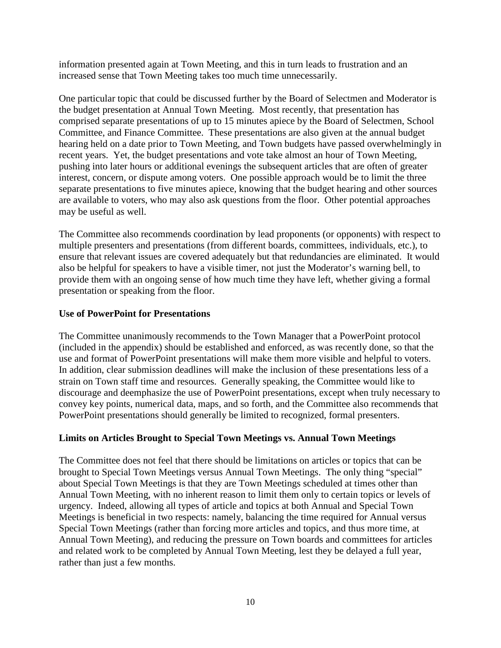information presented again at Town Meeting, and this in turn leads to frustration and an increased sense that Town Meeting takes too much time unnecessarily.

One particular topic that could be discussed further by the Board of Selectmen and Moderator is the budget presentation at Annual Town Meeting. Most recently, that presentation has comprised separate presentations of up to 15 minutes apiece by the Board of Selectmen, School Committee, and Finance Committee. These presentations are also given at the annual budget hearing held on a date prior to Town Meeting, and Town budgets have passed overwhelmingly in recent years. Yet, the budget presentations and vote take almost an hour of Town Meeting, pushing into later hours or additional evenings the subsequent articles that are often of greater interest, concern, or dispute among voters. One possible approach would be to limit the three separate presentations to five minutes apiece, knowing that the budget hearing and other sources are available to voters, who may also ask questions from the floor. Other potential approaches may be useful as well.

The Committee also recommends coordination by lead proponents (or opponents) with respect to multiple presenters and presentations (from different boards, committees, individuals, etc.), to ensure that relevant issues are covered adequately but that redundancies are eliminated. It would also be helpful for speakers to have a visible timer, not just the Moderator's warning bell, to provide them with an ongoing sense of how much time they have left, whether giving a formal presentation or speaking from the floor.

## **Use of PowerPoint for Presentations**

The Committee unanimously recommends to the Town Manager that a PowerPoint protocol (included in the appendix) should be established and enforced, as was recently done, so that the use and format of PowerPoint presentations will make them more visible and helpful to voters. In addition, clear submission deadlines will make the inclusion of these presentations less of a strain on Town staff time and resources. Generally speaking, the Committee would like to discourage and deemphasize the use of PowerPoint presentations, except when truly necessary to convey key points, numerical data, maps, and so forth, and the Committee also recommends that PowerPoint presentations should generally be limited to recognized, formal presenters.

## **Limits on Articles Brought to Special Town Meetings vs. Annual Town Meetings**

The Committee does not feel that there should be limitations on articles or topics that can be brought to Special Town Meetings versus Annual Town Meetings. The only thing "special" about Special Town Meetings is that they are Town Meetings scheduled at times other than Annual Town Meeting, with no inherent reason to limit them only to certain topics or levels of urgency. Indeed, allowing all types of article and topics at both Annual and Special Town Meetings is beneficial in two respects: namely, balancing the time required for Annual versus Special Town Meetings (rather than forcing more articles and topics, and thus more time, at Annual Town Meeting), and reducing the pressure on Town boards and committees for articles and related work to be completed by Annual Town Meeting, lest they be delayed a full year, rather than just a few months.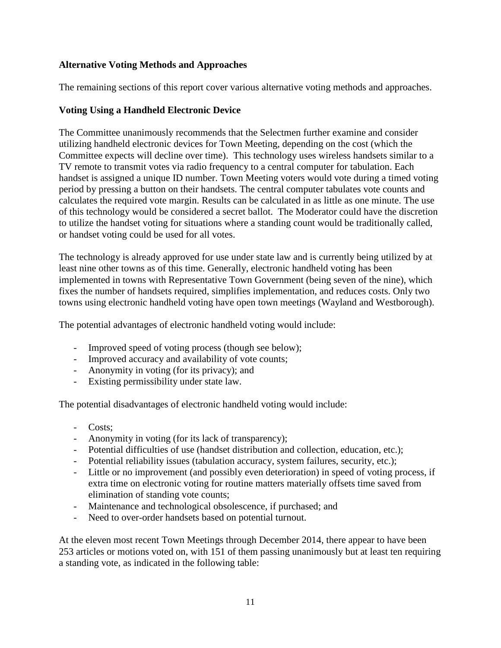## **Alternative Voting Methods and Approaches**

The remaining sections of this report cover various alternative voting methods and approaches.

## **Voting Using a Handheld Electronic Device**

The Committee unanimously recommends that the Selectmen further examine and consider utilizing handheld electronic devices for Town Meeting, depending on the cost (which the Committee expects will decline over time). This technology uses wireless handsets similar to a TV remote to transmit votes via radio frequency to a central computer for tabulation. Each handset is assigned a unique ID number. Town Meeting voters would vote during a timed voting period by pressing a button on their handsets. The central computer tabulates vote counts and calculates the required vote margin. Results can be calculated in as little as one minute. The use of this technology would be considered a secret ballot. The Moderator could have the discretion to utilize the handset voting for situations where a standing count would be traditionally called, or handset voting could be used for all votes.

The technology is already approved for use under state law and is currently being utilized by at least nine other towns as of this time. Generally, electronic handheld voting has been implemented in towns with Representative Town Government (being seven of the nine), which fixes the number of handsets required, simplifies implementation, and reduces costs. Only two towns using electronic handheld voting have open town meetings (Wayland and Westborough).

The potential advantages of electronic handheld voting would include:

- Improved speed of voting process (though see below);
- Improved accuracy and availability of vote counts;
- Anonymity in voting (for its privacy); and
- Existing permissibility under state law.

The potential disadvantages of electronic handheld voting would include:

- Costs;
- Anonymity in voting (for its lack of transparency);
- Potential difficulties of use (handset distribution and collection, education, etc.);
- Potential reliability issues (tabulation accuracy, system failures, security, etc.);
- Little or no improvement (and possibly even deterioration) in speed of voting process, if extra time on electronic voting for routine matters materially offsets time saved from elimination of standing vote counts;
- Maintenance and technological obsolescence, if purchased; and
- Need to over-order handsets based on potential turnout.

At the eleven most recent Town Meetings through December 2014, there appear to have been 253 articles or motions voted on, with 151 of them passing unanimously but at least ten requiring a standing vote, as indicated in the following table: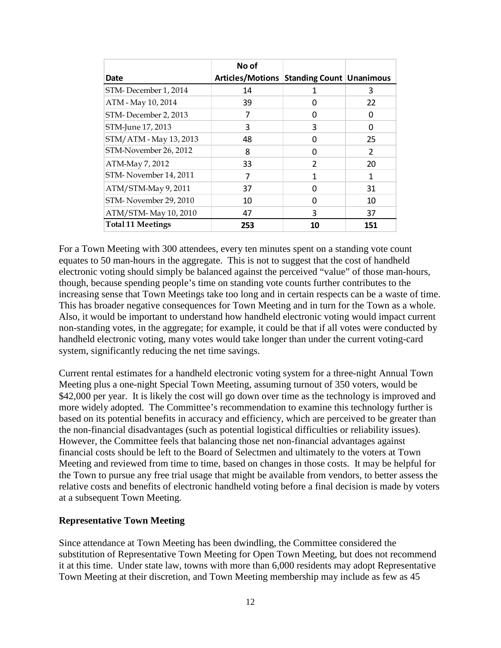|                          | No of                                     |               |               |
|--------------------------|-------------------------------------------|---------------|---------------|
| Date                     | Articles/Motions Standing Count Unanimous |               |               |
| STM-December 1, 2014     | 14                                        |               | 3             |
| ATM - May 10, 2014       | 39                                        | O             | 22            |
| STM-December 2, 2013     |                                           | 0             | 0             |
| STM-June 17, 2013        | 3                                         | 3             | U             |
| STM/ATM - May 13, 2013   | 48                                        | U             | 25            |
| STM-November 26, 2012    | 8                                         | O             | $\mathcal{P}$ |
| ATM-May 7, 2012          | 33                                        | $\mathcal{P}$ | 20            |
| STM-November 14, 2011    | 7                                         | 1             | 1             |
| ATM/STM-May 9, 2011      | 37                                        | U             | 31            |
| STM-November 29, 2010    | 10                                        | 0             | 10            |
| ATM/STM-May 10, 2010     | 47                                        | 3             | 37            |
| <b>Total 11 Meetings</b> | 253                                       | 10            | 151           |

For a Town Meeting with 300 attendees, every ten minutes spent on a standing vote count equates to 50 man-hours in the aggregate. This is not to suggest that the cost of handheld electronic voting should simply be balanced against the perceived "value" of those man-hours, though, because spending people's time on standing vote counts further contributes to the increasing sense that Town Meetings take too long and in certain respects can be a waste of time. This has broader negative consequences for Town Meeting and in turn for the Town as a whole. Also, it would be important to understand how handheld electronic voting would impact current non-standing votes, in the aggregate; for example, it could be that if all votes were conducted by handheld electronic voting, many votes would take longer than under the current voting-card system, significantly reducing the net time savings.

Current rental estimates for a handheld electronic voting system for a three-night Annual Town Meeting plus a one-night Special Town Meeting, assuming turnout of 350 voters, would be \$42,000 per year. It is likely the cost will go down over time as the technology is improved and more widely adopted. The Committee's recommendation to examine this technology further is based on its potential benefits in accuracy and efficiency, which are perceived to be greater than the non-financial disadvantages (such as potential logistical difficulties or reliability issues). However, the Committee feels that balancing those net non-financial advantages against financial costs should be left to the Board of Selectmen and ultimately to the voters at Town Meeting and reviewed from time to time, based on changes in those costs. It may be helpful for the Town to pursue any free trial usage that might be available from vendors, to better assess the relative costs and benefits of electronic handheld voting before a final decision is made by voters at a subsequent Town Meeting.

#### **Representative Town Meeting**

Since attendance at Town Meeting has been dwindling, the Committee considered the substitution of Representative Town Meeting for Open Town Meeting, but does not recommend it at this time. Under state law, towns with more than 6,000 residents may adopt Representative Town Meeting at their discretion, and Town Meeting membership may include as few as 45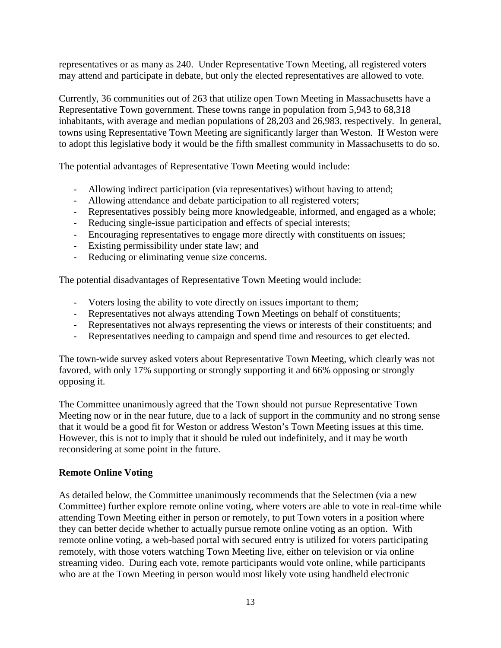representatives or as many as 240. Under Representative Town Meeting, all registered voters may attend and participate in debate, but only the elected representatives are allowed to vote.

Currently, 36 communities out of 263 that utilize open Town Meeting in Massachusetts have a Representative Town government. These towns range in population from 5,943 to 68,318 inhabitants, with average and median populations of 28,203 and 26,983, respectively. In general, towns using Representative Town Meeting are significantly larger than Weston. If Weston were to adopt this legislative body it would be the fifth smallest community in Massachusetts to do so.

The potential advantages of Representative Town Meeting would include:

- Allowing indirect participation (via representatives) without having to attend;
- Allowing attendance and debate participation to all registered voters;
- Representatives possibly being more knowledgeable, informed, and engaged as a whole;
- Reducing single-issue participation and effects of special interests;
- Encouraging representatives to engage more directly with constituents on issues;
- Existing permissibility under state law; and
- Reducing or eliminating venue size concerns.

The potential disadvantages of Representative Town Meeting would include:

- Voters losing the ability to vote directly on issues important to them;
- Representatives not always attending Town Meetings on behalf of constituents;
- Representatives not always representing the views or interests of their constituents; and
- Representatives needing to campaign and spend time and resources to get elected.

The town-wide survey asked voters about Representative Town Meeting, which clearly was not favored, with only 17% supporting or strongly supporting it and 66% opposing or strongly opposing it.

The Committee unanimously agreed that the Town should not pursue Representative Town Meeting now or in the near future, due to a lack of support in the community and no strong sense that it would be a good fit for Weston or address Weston's Town Meeting issues at this time. However, this is not to imply that it should be ruled out indefinitely, and it may be worth reconsidering at some point in the future.

## **Remote Online Voting**

As detailed below, the Committee unanimously recommends that the Selectmen (via a new Committee) further explore remote online voting, where voters are able to vote in real-time while attending Town Meeting either in person or remotely, to put Town voters in a position where they can better decide whether to actually pursue remote online voting as an option. With remote online voting, a web-based portal with secured entry is utilized for voters participating remotely, with those voters watching Town Meeting live, either on television or via online streaming video. During each vote, remote participants would vote online, while participants who are at the Town Meeting in person would most likely vote using handheld electronic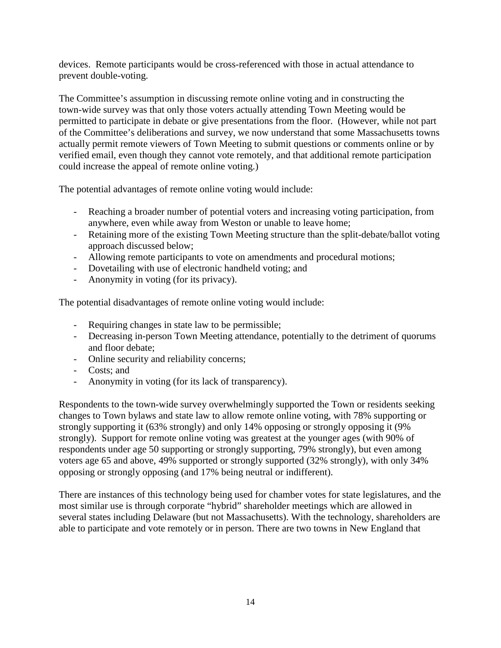devices. Remote participants would be cross-referenced with those in actual attendance to prevent double-voting.

The Committee's assumption in discussing remote online voting and in constructing the town-wide survey was that only those voters actually attending Town Meeting would be permitted to participate in debate or give presentations from the floor. (However, while not part of the Committee's deliberations and survey, we now understand that some Massachusetts towns actually permit remote viewers of Town Meeting to submit questions or comments online or by verified email, even though they cannot vote remotely, and that additional remote participation could increase the appeal of remote online voting.)

The potential advantages of remote online voting would include:

- Reaching a broader number of potential voters and increasing voting participation, from anywhere, even while away from Weston or unable to leave home;
- Retaining more of the existing Town Meeting structure than the split-debate/ballot voting approach discussed below;
- Allowing remote participants to vote on amendments and procedural motions;
- Dovetailing with use of electronic handheld voting; and
- Anonymity in voting (for its privacy).

The potential disadvantages of remote online voting would include:

- Requiring changes in state law to be permissible;
- Decreasing in-person Town Meeting attendance, potentially to the detriment of quorums and floor debate;
- Online security and reliability concerns;
- Costs; and
- Anonymity in voting (for its lack of transparency).

Respondents to the town-wide survey overwhelmingly supported the Town or residents seeking changes to Town bylaws and state law to allow remote online voting, with 78% supporting or strongly supporting it (63% strongly) and only 14% opposing or strongly opposing it (9% strongly). Support for remote online voting was greatest at the younger ages (with 90% of respondents under age 50 supporting or strongly supporting, 79% strongly), but even among voters age 65 and above, 49% supported or strongly supported (32% strongly), with only 34% opposing or strongly opposing (and 17% being neutral or indifferent).

There are instances of this technology being used for chamber votes for state legislatures, and the most similar use is through corporate "hybrid" shareholder meetings which are allowed in several states including Delaware (but not Massachusetts). With the technology, shareholders are able to participate and vote remotely or in person. There are two towns in New England that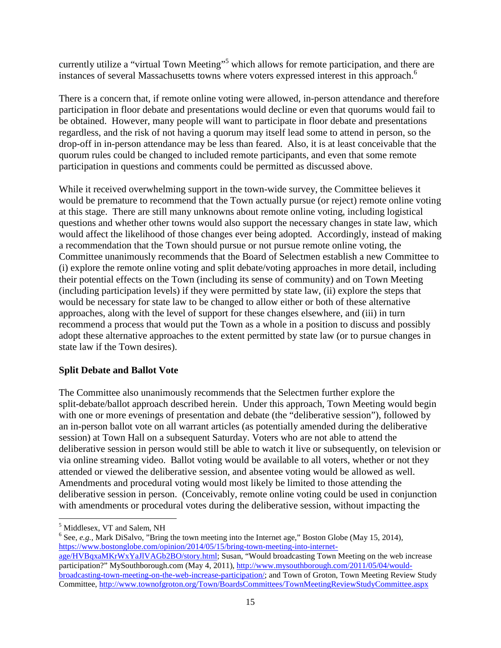currently utilize a "virtual Town Meeting"<sup>5</sup> which allows for remote participation, and there are instances of several Massachusetts towns where voters expressed interest in this approach.<sup>6</sup>

There is a concern that, if remote online voting were allowed, in-person attendance and therefore participation in floor debate and presentations would decline or even that quorums would fail to be obtained. However, many people will want to participate in floor debate and presentations regardless, and the risk of not having a quorum may itself lead some to attend in person, so the drop-off in in-person attendance may be less than feared. Also, it is at least conceivable that the quorum rules could be changed to included remote participants, and even that some remote participation in questions and comments could be permitted as discussed above.

While it received overwhelming support in the town-wide survey, the Committee believes it would be premature to recommend that the Town actually pursue (or reject) remote online voting at this stage. There are still many unknowns about remote online voting, including logistical questions and whether other towns would also support the necessary changes in state law, which would affect the likelihood of those changes ever being adopted. Accordingly, instead of making a recommendation that the Town should pursue or not pursue remote online voting, the Committee unanimously recommends that the Board of Selectmen establish a new Committee to (i) explore the remote online voting and split debate/voting approaches in more detail, including their potential effects on the Town (including its sense of community) and on Town Meeting (including participation levels) if they were permitted by state law, (ii) explore the steps that would be necessary for state law to be changed to allow either or both of these alternative approaches, along with the level of support for these changes elsewhere, and (iii) in turn recommend a process that would put the Town as a whole in a position to discuss and possibly adopt these alternative approaches to the extent permitted by state law (or to pursue changes in state law if the Town desires).

## **Split Debate and Ballot Vote**

The Committee also unanimously recommends that the Selectmen further explore the split-debate/ballot approach described herein. Under this approach, Town Meeting would begin with one or more evenings of presentation and debate (the "deliberative session"), followed by an in-person ballot vote on all warrant articles (as potentially amended during the deliberative session) at Town Hall on a subsequent Saturday. Voters who are not able to attend the deliberative session in person would still be able to watch it live or subsequently, on television or via online streaming video. Ballot voting would be available to all voters, whether or not they attended or viewed the deliberative session, and absentee voting would be allowed as well. Amendments and procedural voting would most likely be limited to those attending the deliberative session in person. (Conceivably, remote online voting could be used in conjunction with amendments or procedural votes during the deliberative session, without impacting the

.<br>-

<sup>5</sup> Middlesex, VT and Salem, NH

<sup>&</sup>lt;sup>6</sup> See, *e.g.*, Mark DiSalvo, "Bring the town meeting into the Internet age," Boston Globe (May 15, 2014), https://www.bostonglobe.com/opinion/2014/05/15/bring-town-meeting-into-internet-

age/HVBqxaMKrWxYaJlVAGb2BO/story.html; Susan, "Would broadcasting Town Meeting on the web increase participation?" MySouthborough.com (May 4, 2011), http://www.mysouthborough.com/2011/05/04/wouldbroadcasting-town-meeting-on-the-web-increase-participation/; and Town of Groton, Town Meeting Review Study Committee, http://www.townofgroton.org/Town/BoardsCommittees/TownMeetingReviewStudyCommittee.aspx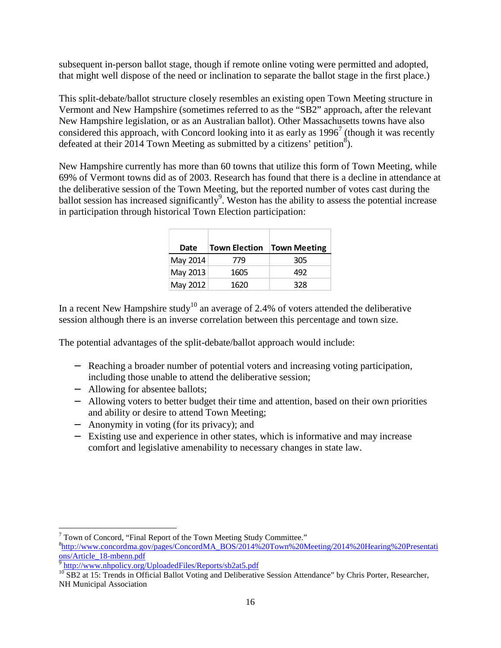subsequent in-person ballot stage, though if remote online voting were permitted and adopted, that might well dispose of the need or inclination to separate the ballot stage in the first place.)

This split-debate/ballot structure closely resembles an existing open Town Meeting structure in Vermont and New Hampshire (sometimes referred to as the "SB2" approach, after the relevant New Hampshire legislation, or as an Australian ballot). Other Massachusetts towns have also considered this approach, with Concord looking into it as early as  $1996<sup>7</sup>$  (though it was recently defeated at their 2014 Town Meeting as submitted by a citizens' petition<sup>8</sup>).

New Hampshire currently has more than 60 towns that utilize this form of Town Meeting, while 69% of Vermont towns did as of 2003. Research has found that there is a decline in attendance at the deliberative session of the Town Meeting, but the reported number of votes cast during the ballot session has increased significantly<sup>9</sup>. Weston has the ability to assess the potential increase in participation through historical Town Election participation:

| Date     | <b>Town Election</b> | <b>Town Meeting</b> |
|----------|----------------------|---------------------|
| May 2014 | 779                  | 305                 |
| May 2013 | 1605                 | 492                 |
| May 2012 | 1620                 | 328                 |

In a recent New Hampshire study<sup>10</sup> an average of 2.4% of voters attended the deliberative session although there is an inverse correlation between this percentage and town size.

The potential advantages of the split-debate/ballot approach would include:

- − Reaching a broader number of potential voters and increasing voting participation, including those unable to attend the deliberative session;
- − Allowing for absentee ballots;
- − Allowing voters to better budget their time and attention, based on their own priorities and ability or desire to attend Town Meeting;
- − Anonymity in voting (for its privacy); and
- − Existing use and experience in other states, which is informative and may increase comfort and legislative amenability to necessary changes in state law.

<u>.</u>

<sup>&</sup>lt;sup>7</sup> Town of Concord, "Final Report of the Town Meeting Study Committee."

<sup>8</sup> http://www.concordma.gov/pages/ConcordMA\_BOS/2014%20Town%20Meeting/2014%20Hearing%20Presentati ons/Article\_18-mbenn.pdf

<sup>9</sup> http://www.nhpolicy.org/UploadedFiles/Reports/sb2at5.pdf

<sup>&</sup>lt;sup>10</sup> SB2 at 15: Trends in Official Ballot Voting and Deliberative Session Attendance" by Chris Porter, Researcher, NH Municipal Association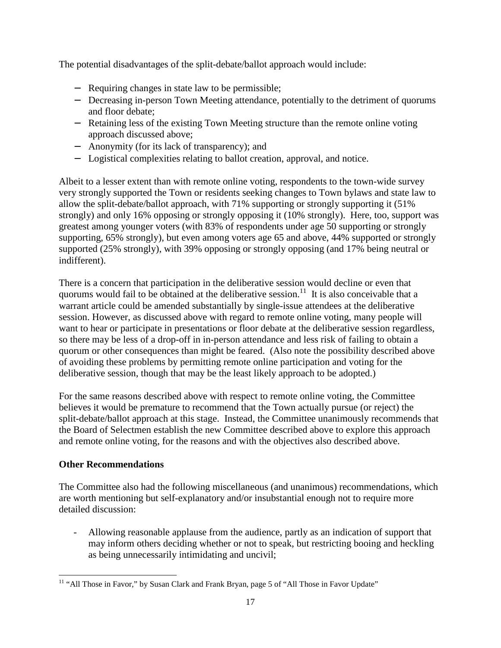The potential disadvantages of the split-debate/ballot approach would include:

- − Requiring changes in state law to be permissible;
- − Decreasing in-person Town Meeting attendance, potentially to the detriment of quorums and floor debate;
- − Retaining less of the existing Town Meeting structure than the remote online voting approach discussed above;
- − Anonymity (for its lack of transparency); and
- − Logistical complexities relating to ballot creation, approval, and notice.

Albeit to a lesser extent than with remote online voting, respondents to the town-wide survey very strongly supported the Town or residents seeking changes to Town bylaws and state law to allow the split-debate/ballot approach, with 71% supporting or strongly supporting it (51% strongly) and only 16% opposing or strongly opposing it (10% strongly). Here, too, support was greatest among younger voters (with 83% of respondents under age 50 supporting or strongly supporting, 65% strongly), but even among voters age 65 and above, 44% supported or strongly supported (25% strongly), with 39% opposing or strongly opposing (and 17% being neutral or indifferent).

There is a concern that participation in the deliberative session would decline or even that quorums would fail to be obtained at the deliberative session.<sup>11</sup> It is also conceivable that a warrant article could be amended substantially by single-issue attendees at the deliberative session. However, as discussed above with regard to remote online voting, many people will want to hear or participate in presentations or floor debate at the deliberative session regardless, so there may be less of a drop-off in in-person attendance and less risk of failing to obtain a quorum or other consequences than might be feared. (Also note the possibility described above of avoiding these problems by permitting remote online participation and voting for the deliberative session, though that may be the least likely approach to be adopted.)

For the same reasons described above with respect to remote online voting, the Committee believes it would be premature to recommend that the Town actually pursue (or reject) the split-debate/ballot approach at this stage. Instead, the Committee unanimously recommends that the Board of Selectmen establish the new Committee described above to explore this approach and remote online voting, for the reasons and with the objectives also described above.

## **Other Recommendations**

The Committee also had the following miscellaneous (and unanimous) recommendations, which are worth mentioning but self-explanatory and/or insubstantial enough not to require more detailed discussion:

- Allowing reasonable applause from the audience, partly as an indication of support that may inform others deciding whether or not to speak, but restricting booing and heckling as being unnecessarily intimidating and uncivil;

<sup>&</sup>lt;u>.</u> <sup>11</sup> "All Those in Favor," by Susan Clark and Frank Bryan, page 5 of "All Those in Favor Update"